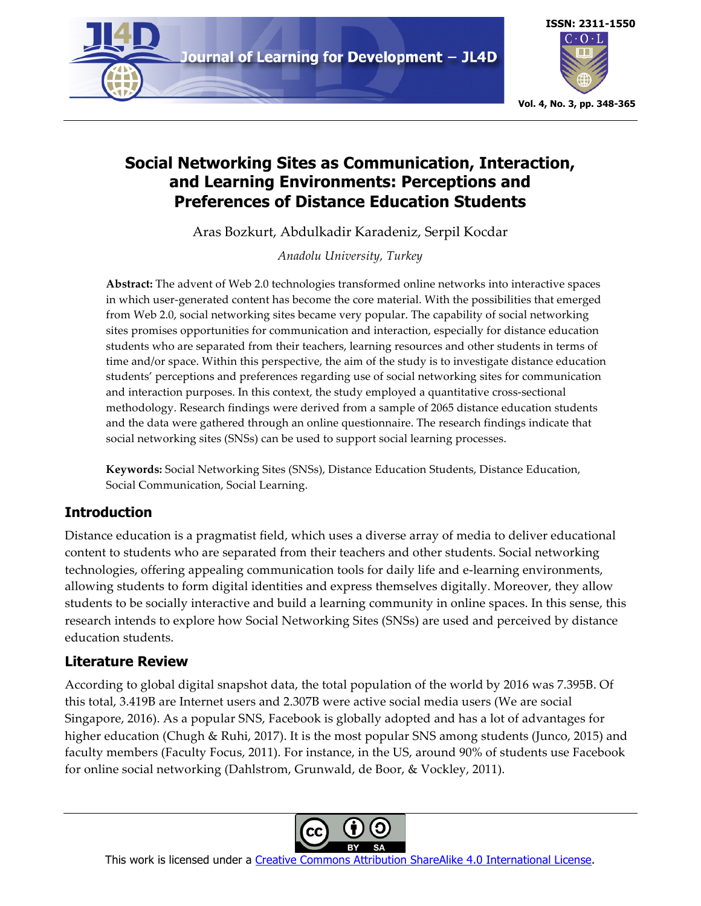



# **Social Networking Sites as Communication, Interaction, and Learning Environments: Perceptions and Preferences of Distance Education Students**

Aras Bozkurt, Abdulkadir Karadeniz, Serpil Kocdar

*Anadolu University, Turkey*

**Abstract:** The advent of Web 2.0 technologies transformed online networks into interactive spaces in which user-generated content has become the core material. With the possibilities that emerged from Web 2.0, social networking sites became very popular. The capability of social networking sites promises opportunities for communication and interaction, especially for distance education students who are separated from their teachers, learning resources and other students in terms of time and/or space. Within this perspective, the aim of the study is to investigate distance education students' perceptions and preferences regarding use of social networking sites for communication and interaction purposes. In this context, the study employed a quantitative cross-sectional methodology. Research findings were derived from a sample of 2065 distance education students and the data were gathered through an online questionnaire. The research findings indicate that social networking sites (SNSs) can be used to support social learning processes.

**Keywords:** Social Networking Sites (SNSs), Distance Education Students, Distance Education, Social Communication, Social Learning.

# **Introduction**

Distance education is a pragmatist field, which uses a diverse array of media to deliver educational content to students who are separated from their teachers and other students. Social networking technologies, offering appealing communication tools for daily life and e-learning environments, allowing students to form digital identities and express themselves digitally. Moreover, they allow students to be socially interactive and build a learning community in online spaces. In this sense, this research intends to explore how Social Networking Sites (SNSs) are used and perceived by distance education students.

# **Literature Review**

According to global digital snapshot data, the total population of the world by 2016 was 7.395B. Of this total, 3.419B are Internet users and 2.307B were active social media users (We are social Singapore, 2016). As a popular SNS, Facebook is globally adopted and has a lot of advantages for higher education (Chugh & Ruhi, 2017). It is the most popular SNS among students (Junco, 2015) and faculty members (Faculty Focus, 2011). For instance, in the US, around 90% of students use Facebook for online social networking (Dahlstrom, Grunwald, de Boor, & Vockley, 2011).

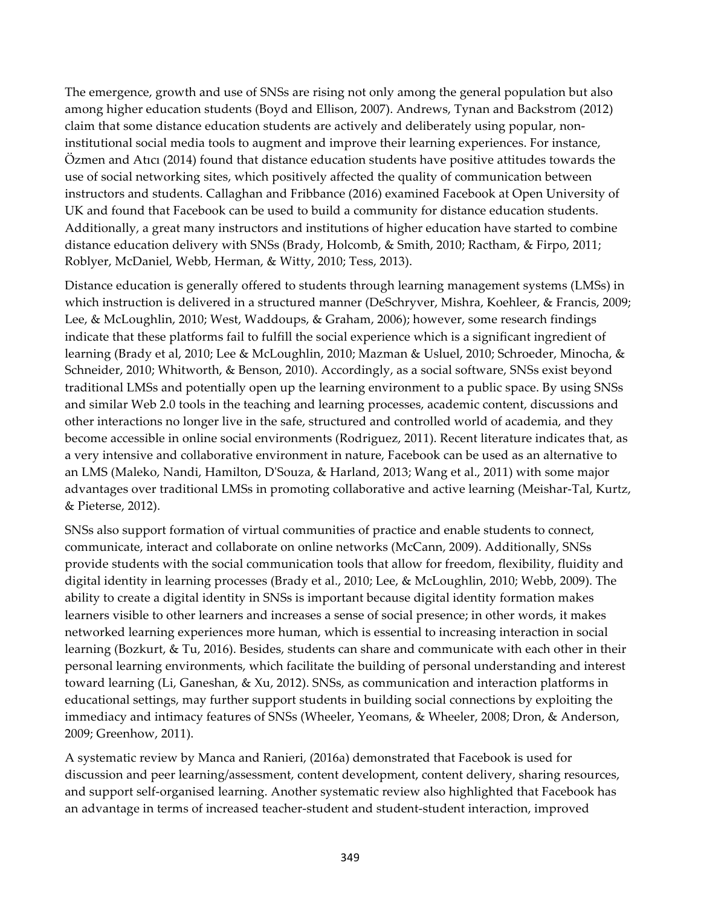The emergence, growth and use of SNSs are rising not only among the general population but also among higher education students (Boyd and Ellison, 2007). Andrews, Tynan and Backstrom (2012) claim that some distance education students are actively and deliberately using popular, noninstitutional social media tools to augment and improve their learning experiences. For instance, Özmen and Atıcı (2014) found that distance education students have positive attitudes towards the use of social networking sites, which positively affected the quality of communication between instructors and students. Callaghan and Fribbance (2016) examined Facebook at Open University of UK and found that Facebook can be used to build a community for distance education students. Additionally, a great many instructors and institutions of higher education have started to combine distance education delivery with SNSs (Brady, Holcomb, & Smith, 2010; Ractham, & Firpo, 2011; Roblyer, McDaniel, Webb, Herman, & Witty, 2010; Tess, 2013).

Distance education is generally offered to students through learning management systems (LMSs) in which instruction is delivered in a structured manner (DeSchryver, Mishra, Koehleer, & Francis, 2009; Lee, & McLoughlin, 2010; West, Waddoups, & Graham, 2006); however, some research findings indicate that these platforms fail to fulfill the social experience which is a significant ingredient of learning (Brady et al, 2010; Lee & McLoughlin, 2010; Mazman & Usluel, 2010; Schroeder, Minocha, & Schneider, 2010; Whitworth, & Benson, 2010). Accordingly, as a social software, SNSs exist beyond traditional LMSs and potentially open up the learning environment to a public space. By using SNSs and similar Web 2.0 tools in the teaching and learning processes, academic content, discussions and other interactions no longer live in the safe, structured and controlled world of academia, and they become accessible in online social environments (Rodriguez, 2011). Recent literature indicates that, as a very intensive and collaborative environment in nature, Facebook can be used as an alternative to an LMS (Maleko, Nandi, Hamilton, D'Souza, & Harland, 2013; Wang et al., 2011) with some major advantages over traditional LMSs in promoting collaborative and active learning (Meishar-Tal, Kurtz, & Pieterse, 2012).

SNSs also support formation of virtual communities of practice and enable students to connect, communicate, interact and collaborate on online networks (McCann, 2009). Additionally, SNSs provide students with the social communication tools that allow for freedom, flexibility, fluidity and digital identity in learning processes (Brady et al., 2010; Lee, & McLoughlin, 2010; Webb, 2009). The ability to create a digital identity in SNSs is important because digital identity formation makes learners visible to other learners and increases a sense of social presence; in other words, it makes networked learning experiences more human, which is essential to increasing interaction in social learning (Bozkurt, & Tu, 2016). Besides, students can share and communicate with each other in their personal learning environments, which facilitate the building of personal understanding and interest toward learning (Li, Ganeshan, & Xu, 2012). SNSs, as communication and interaction platforms in educational settings, may further support students in building social connections by exploiting the immediacy and intimacy features of SNSs (Wheeler, Yeomans, & Wheeler, 2008; Dron, & Anderson, 2009; Greenhow, 2011).

A systematic review by Manca and Ranieri, (2016a) demonstrated that Facebook is used for discussion and peer learning/assessment, content development, content delivery, sharing resources, and support self-organised learning. Another systematic review also highlighted that Facebook has an advantage in terms of increased teacher-student and student-student interaction, improved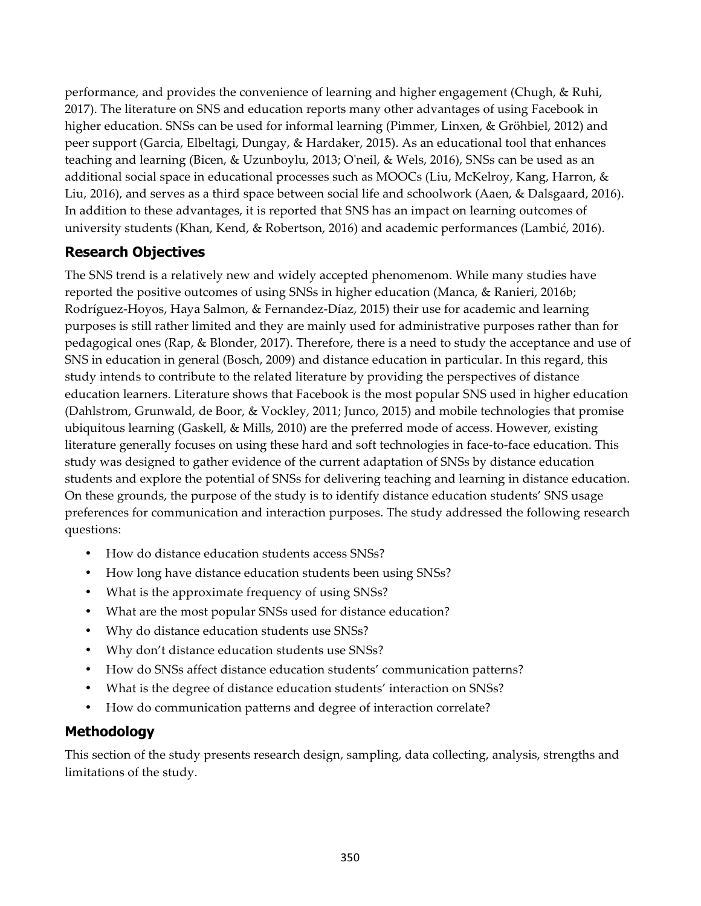performance, and provides the convenience of learning and higher engagement (Chugh, & Ruhi, 2017). The literature on SNS and education reports many other advantages of using Facebook in higher education. SNSs can be used for informal learning (Pimmer, Linxen, & Gröhbiel, 2012) and peer support (Garcia, Elbeltagi, Dungay, & Hardaker, 2015). As an educational tool that enhances teaching and learning (Bicen, & Uzunboylu, 2013; O'neil, & Wels, 2016), SNSs can be used as an additional social space in educational processes such as MOOCs (Liu, McKelroy, Kang, Harron, & Liu, 2016), and serves as a third space between social life and schoolwork (Aaen, & Dalsgaard, 2016). In addition to these advantages, it is reported that SNS has an impact on learning outcomes of university students (Khan, Kend, & Robertson, 2016) and academic performances (Lambić, 2016).

# **Research Objectives**

The SNS trend is a relatively new and widely accepted phenomenom. While many studies have reported the positive outcomes of using SNSs in higher education (Manca, & Ranieri, 2016b; Rodríguez-Hoyos, Haya Salmon, & Fernandez-Díaz, 2015) their use for academic and learning purposes is still rather limited and they are mainly used for administrative purposes rather than for pedagogical ones (Rap, & Blonder, 2017). Therefore, there is a need to study the acceptance and use of SNS in education in general (Bosch, 2009) and distance education in particular. In this regard, this study intends to contribute to the related literature by providing the perspectives of distance education learners. Literature shows that Facebook is the most popular SNS used in higher education (Dahlstrom, Grunwald, de Boor, & Vockley, 2011; Junco, 2015) and mobile technologies that promise ubiquitous learning (Gaskell, & Mills, 2010) are the preferred mode of access. However, existing literature generally focuses on using these hard and soft technologies in face-to-face education. This study was designed to gather evidence of the current adaptation of SNSs by distance education students and explore the potential of SNSs for delivering teaching and learning in distance education. On these grounds, the purpose of the study is to identify distance education students' SNS usage preferences for communication and interaction purposes. The study addressed the following research questions:

- How do distance education students access SNSs?
- How long have distance education students been using SNSs?
- What is the approximate frequency of using SNSs?
- What are the most popular SNSs used for distance education?
- Why do distance education students use SNSs?
- Why don't distance education students use SNSs?
- How do SNSs affect distance education students' communication patterns?
- What is the degree of distance education students' interaction on SNSs?
- How do communication patterns and degree of interaction correlate?

# **Methodology**

This section of the study presents research design, sampling, data collecting, analysis, strengths and limitations of the study.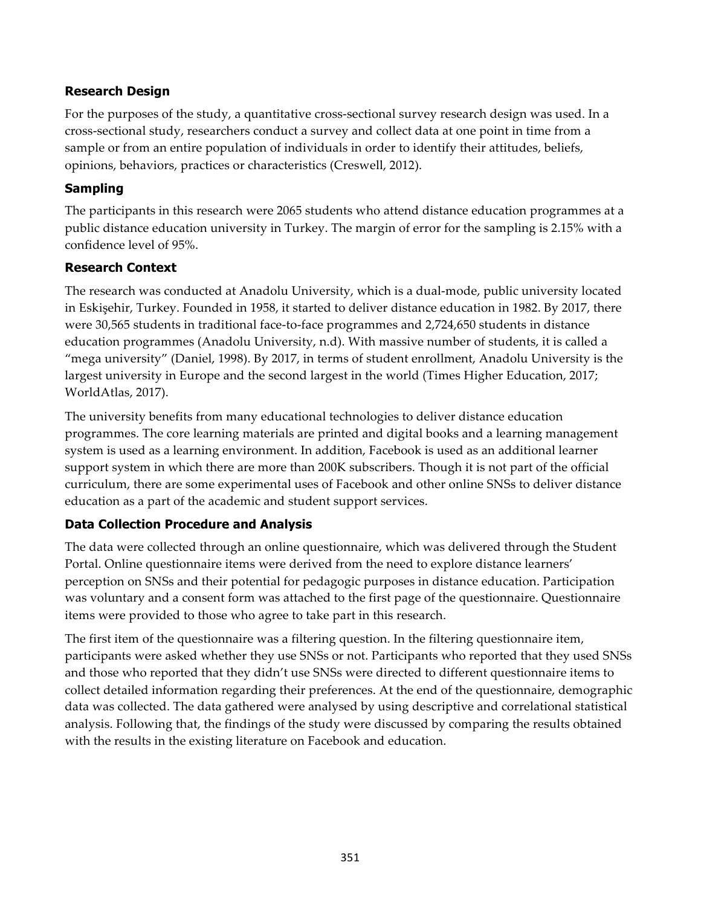## **Research Design**

For the purposes of the study, a quantitative cross-sectional survey research design was used. In a cross-sectional study, researchers conduct a survey and collect data at one point in time from a sample or from an entire population of individuals in order to identify their attitudes, beliefs, opinions, behaviors, practices or characteristics (Creswell, 2012).

## **Sampling**

The participants in this research were 2065 students who attend distance education programmes at a public distance education university in Turkey. The margin of error for the sampling is 2.15% with a confidence level of 95%.

## **Research Context**

The research was conducted at Anadolu University, which is a dual-mode, public university located in Eskişehir, Turkey. Founded in 1958, it started to deliver distance education in 1982. By 2017, there were 30,565 students in traditional face-to-face programmes and 2,724,650 students in distance education programmes (Anadolu University, n.d). With massive number of students, it is called a "mega university" (Daniel, 1998). By 2017, in terms of student enrollment, Anadolu University is the largest university in Europe and the second largest in the world (Times Higher Education, 2017; WorldAtlas, 2017).

The university benefits from many educational technologies to deliver distance education programmes. The core learning materials are printed and digital books and a learning management system is used as a learning environment. In addition, Facebook is used as an additional learner support system in which there are more than 200K subscribers. Though it is not part of the official curriculum, there are some experimental uses of Facebook and other online SNSs to deliver distance education as a part of the academic and student support services.

# **Data Collection Procedure and Analysis**

The data were collected through an online questionnaire, which was delivered through the Student Portal. Online questionnaire items were derived from the need to explore distance learners' perception on SNSs and their potential for pedagogic purposes in distance education. Participation was voluntary and a consent form was attached to the first page of the questionnaire. Questionnaire items were provided to those who agree to take part in this research.

The first item of the questionnaire was a filtering question. In the filtering questionnaire item, participants were asked whether they use SNSs or not. Participants who reported that they used SNSs and those who reported that they didn't use SNSs were directed to different questionnaire items to collect detailed information regarding their preferences. At the end of the questionnaire, demographic data was collected. The data gathered were analysed by using descriptive and correlational statistical analysis. Following that, the findings of the study were discussed by comparing the results obtained with the results in the existing literature on Facebook and education.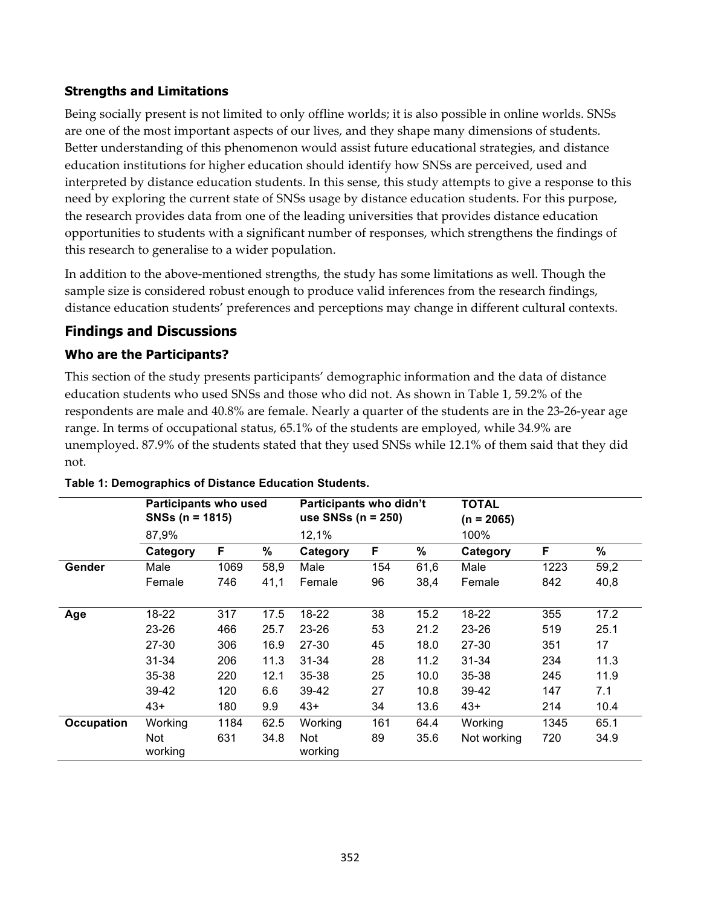## **Strengths and Limitations**

Being socially present is not limited to only offline worlds; it is also possible in online worlds. SNSs are one of the most important aspects of our lives, and they shape many dimensions of students. Better understanding of this phenomenon would assist future educational strategies, and distance education institutions for higher education should identify how SNSs are perceived, used and interpreted by distance education students. In this sense, this study attempts to give a response to this need by exploring the current state of SNSs usage by distance education students. For this purpose, the research provides data from one of the leading universities that provides distance education opportunities to students with a significant number of responses, which strengthens the findings of this research to generalise to a wider population.

In addition to the above-mentioned strengths, the study has some limitations as well. Though the sample size is considered robust enough to produce valid inferences from the research findings, distance education students' preferences and perceptions may change in different cultural contexts.

# **Findings and Discussions**

# **Who are the Participants?**

This section of the study presents participants' demographic information and the data of distance education students who used SNSs and those who did not. As shown in Table 1, 59.2% of the respondents are male and 40.8% are female. Nearly a quarter of the students are in the 23-26-year age range. In terms of occupational status, 65.1% of the students are employed, while 34.9% are unemployed. 87.9% of the students stated that they used SNSs while 12.1% of them said that they did not.

|                   | <b>Participants who used</b><br>$SNSs (n = 1815)$ |      |      | Participants who didn't<br>use SNSs ( $n = 250$ ) |     |      | <b>TOTAL</b><br>$(n = 2065)$ |      |      |
|-------------------|---------------------------------------------------|------|------|---------------------------------------------------|-----|------|------------------------------|------|------|
|                   | 87,9%                                             |      |      | 12,1%                                             |     |      | 100%                         |      |      |
|                   | Category                                          | F    | %    | Category                                          | F   | %    | Category                     | F    | %    |
| Gender            | Male                                              | 1069 | 58,9 | Male                                              | 154 | 61,6 | Male                         | 1223 | 59,2 |
|                   | Female                                            | 746  | 41,1 | Female                                            | 96  | 38,4 | Female                       | 842  | 40,8 |
| Age               | 18-22                                             | 317  | 17.5 | 18-22                                             | 38  | 15.2 | 18-22                        | 355  | 17.2 |
|                   | $23 - 26$                                         | 466  | 25.7 | $23 - 26$                                         | 53  | 21.2 | 23-26                        | 519  | 25.1 |
|                   | 27-30                                             | 306  | 16.9 | 27-30                                             | 45  | 18.0 | 27-30                        | 351  | 17   |
|                   | 31-34                                             | 206  | 11.3 | $31 - 34$                                         | 28  | 11.2 | $31 - 34$                    | 234  | 11.3 |
|                   | 35-38                                             | 220  | 12.1 | 35-38                                             | 25  | 10.0 | $35 - 38$                    | 245  | 11.9 |
|                   | 39-42                                             | 120  | 6.6  | 39-42                                             | 27  | 10.8 | 39-42                        | 147  | 7.1  |
|                   | $43+$                                             | 180  | 9.9  | $43+$                                             | 34  | 13.6 | $43+$                        | 214  | 10.4 |
| <b>Occupation</b> | Working                                           | 1184 | 62.5 | Working                                           | 161 | 64.4 | Working                      | 1345 | 65.1 |
|                   | Not<br>working                                    | 631  | 34.8 | <b>Not</b><br>working                             | 89  | 35.6 | Not working                  | 720  | 34.9 |

## **Table 1: Demographics of Distance Education Students.**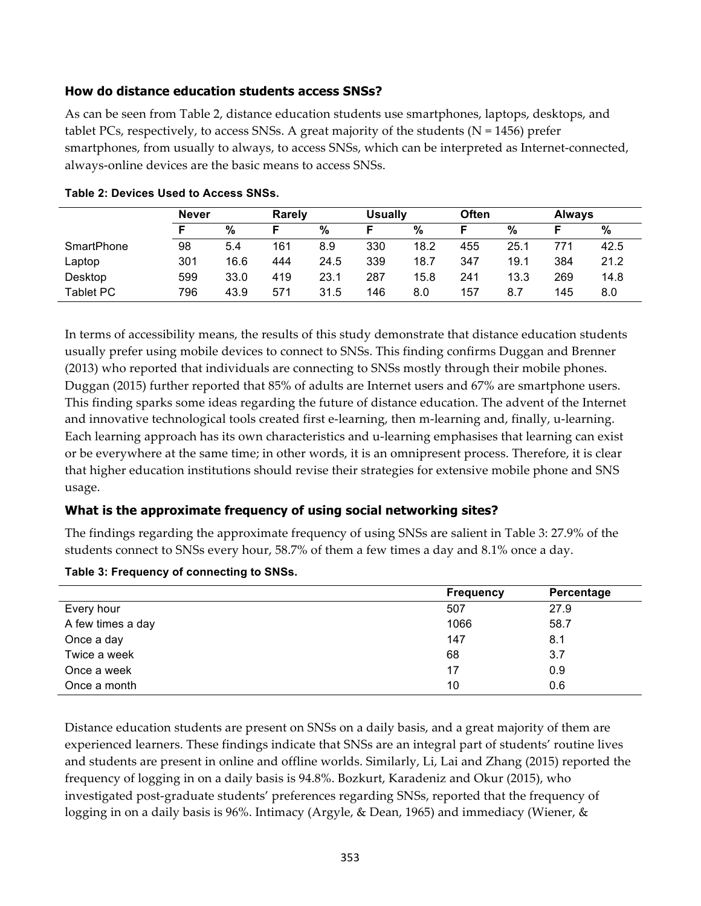### **How do distance education students access SNSs?**

As can be seen from Table 2, distance education students use smartphones, laptops, desktops, and tablet PCs, respectively, to access SNSs. A great majority of the students ( $N = 1456$ ) prefer smartphones, from usually to always, to access SNSs, which can be interpreted as Internet-connected, always-online devices are the basic means to access SNSs.

|                   | <b>Never</b> |      | <b>Rarely</b> |      | <b>Usually</b> |      | <b>Often</b> |      | <b>Always</b> |      |
|-------------------|--------------|------|---------------|------|----------------|------|--------------|------|---------------|------|
|                   |              | %    |               | %    |                | %    |              | %    |               | %    |
| <b>SmartPhone</b> | 98           | 5.4  | 161           | 8.9  | 330            | 18.2 | 455          | 25.1 | 771           | 42.5 |
| Laptop            | 301          | 16.6 | 444           | 24.5 | 339            | 18.7 | 347          | 19.1 | 384           | 21.2 |
| Desktop           | 599          | 33.0 | 419           | 23.1 | 287            | 15.8 | 241          | 13.3 | 269           | 14.8 |
| <b>Tablet PC</b>  | 796          | 43.9 | 571           | 31.5 | 146            | 8.0  | 157          | 8.7  | 145           | 8.0  |

| Table 2: Devices Used to Access SNSs. |
|---------------------------------------|
|---------------------------------------|

In terms of accessibility means, the results of this study demonstrate that distance education students usually prefer using mobile devices to connect to SNSs. This finding confirms Duggan and Brenner (2013) who reported that individuals are connecting to SNSs mostly through their mobile phones. Duggan (2015) further reported that 85% of adults are Internet users and 67% are smartphone users. This finding sparks some ideas regarding the future of distance education. The advent of the Internet and innovative technological tools created first e-learning, then m-learning and, finally, u-learning. Each learning approach has its own characteristics and u-learning emphasises that learning can exist or be everywhere at the same time; in other words, it is an omnipresent process. Therefore, it is clear that higher education institutions should revise their strategies for extensive mobile phone and SNS usage.

## **What is the approximate frequency of using social networking sites?**

The findings regarding the approximate frequency of using SNSs are salient in Table 3: 27.9% of the students connect to SNSs every hour, 58.7% of them a few times a day and 8.1% once a day.

| Table 3: Frequency of connecting to SNSs. |  |
|-------------------------------------------|--|
|-------------------------------------------|--|

|                   | <b>Frequency</b> | Percentage |
|-------------------|------------------|------------|
| Every hour        | 507              | 27.9       |
| A few times a day | 1066             | 58.7       |
| Once a day        | 147              | 8.1        |
| Twice a week      | 68               | 3.7        |
| Once a week       | 17               | 0.9        |
| Once a month      | 10               | 0.6        |

Distance education students are present on SNSs on a daily basis, and a great majority of them are experienced learners. These findings indicate that SNSs are an integral part of students' routine lives and students are present in online and offline worlds. Similarly, Li, Lai and Zhang (2015) reported the frequency of logging in on a daily basis is 94.8%. Bozkurt, Karadeniz and Okur (2015), who investigated post-graduate students' preferences regarding SNSs, reported that the frequency of logging in on a daily basis is 96%. Intimacy (Argyle, & Dean, 1965) and immediacy (Wiener, &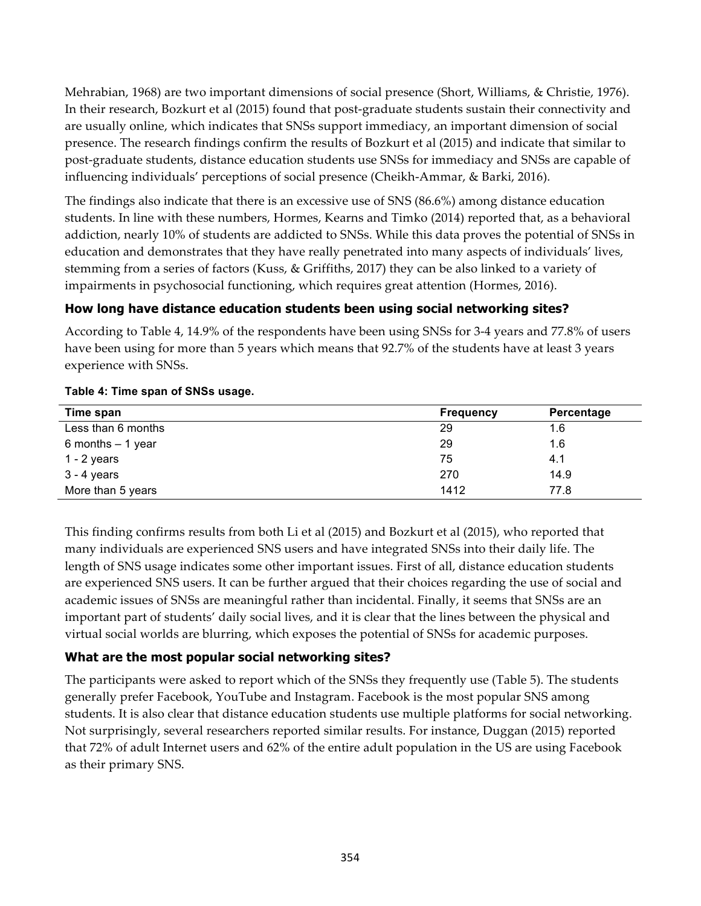Mehrabian, 1968) are two important dimensions of social presence (Short, Williams, & Christie, 1976). In their research, Bozkurt et al (2015) found that post-graduate students sustain their connectivity and are usually online, which indicates that SNSs support immediacy, an important dimension of social presence. The research findings confirm the results of Bozkurt et al (2015) and indicate that similar to post-graduate students, distance education students use SNSs for immediacy and SNSs are capable of influencing individuals' perceptions of social presence (Cheikh-Ammar, & Barki, 2016).

The findings also indicate that there is an excessive use of SNS (86.6%) among distance education students. In line with these numbers, Hormes, Kearns and Timko (2014) reported that, as a behavioral addiction, nearly 10% of students are addicted to SNSs. While this data proves the potential of SNSs in education and demonstrates that they have really penetrated into many aspects of individuals' lives, stemming from a series of factors (Kuss, & Griffiths, 2017) they can be also linked to a variety of impairments in psychosocial functioning, which requires great attention (Hormes, 2016).

## **How long have distance education students been using social networking sites?**

According to Table 4, 14.9% of the respondents have been using SNSs for 3-4 years and 77.8% of users have been using for more than 5 years which means that 92.7% of the students have at least 3 years experience with SNSs.

| Time span          | <b>Frequency</b> | Percentage |
|--------------------|------------------|------------|
| Less than 6 months | 29               | 1.6        |
| 6 months $-1$ year | 29               | 1.6        |
| $1 - 2$ years      | 75               | 4.1        |
| $3 - 4$ years      | 270              | 14.9       |
| More than 5 years  | 1412             | 77.8       |

### **Table 4: Time span of SNSs usage.**

This finding confirms results from both Li et al (2015) and Bozkurt et al (2015), who reported that many individuals are experienced SNS users and have integrated SNSs into their daily life. The length of SNS usage indicates some other important issues. First of all, distance education students are experienced SNS users. It can be further argued that their choices regarding the use of social and academic issues of SNSs are meaningful rather than incidental. Finally, it seems that SNSs are an important part of students' daily social lives, and it is clear that the lines between the physical and virtual social worlds are blurring, which exposes the potential of SNSs for academic purposes.

## **What are the most popular social networking sites?**

The participants were asked to report which of the SNSs they frequently use (Table 5). The students generally prefer Facebook, YouTube and Instagram. Facebook is the most popular SNS among students. It is also clear that distance education students use multiple platforms for social networking. Not surprisingly, several researchers reported similar results. For instance, Duggan (2015) reported that 72% of adult Internet users and 62% of the entire adult population in the US are using Facebook as their primary SNS.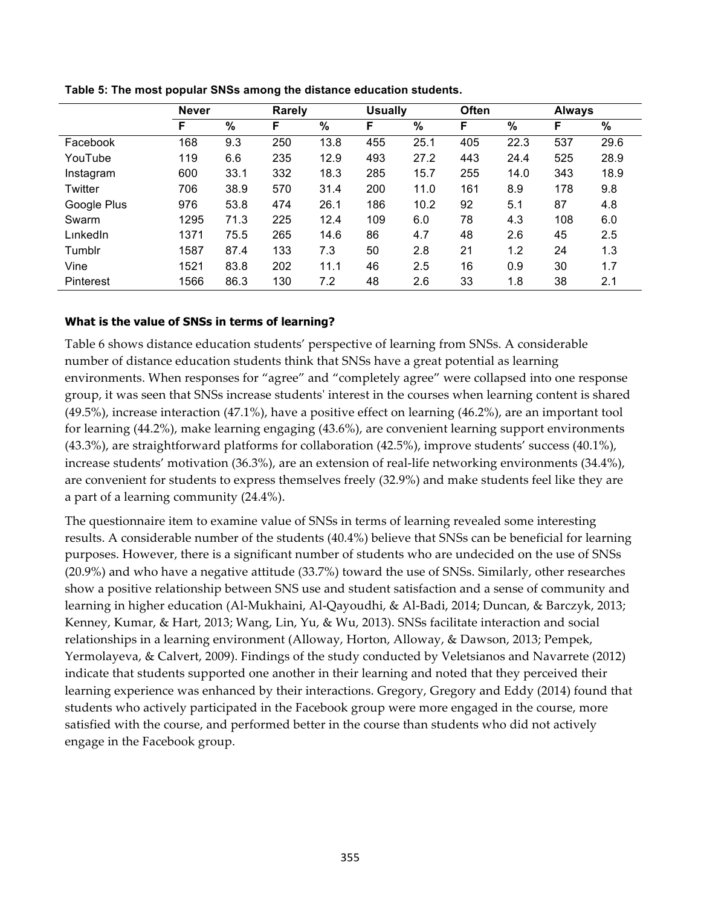|                  | <b>Never</b> |      | <b>Rarely</b> |      | <b>Usually</b> |      | Often |      | <b>Always</b> |      |
|------------------|--------------|------|---------------|------|----------------|------|-------|------|---------------|------|
|                  | F            | $\%$ | F.            | $\%$ | F              | %    | F     | $\%$ | F             | $\%$ |
| Facebook         | 168          | 9.3  | 250           | 13.8 | 455            | 25.1 | 405   | 22.3 | 537           | 29.6 |
| YouTube          | 119          | 6.6  | 235           | 12.9 | 493            | 27.2 | 443   | 24.4 | 525           | 28.9 |
| Instagram        | 600          | 33.1 | 332           | 18.3 | 285            | 15.7 | 255   | 14.0 | 343           | 18.9 |
| Twitter          | 706          | 38.9 | 570           | 31.4 | 200            | 11.0 | 161   | 8.9  | 178           | 9.8  |
| Google Plus      | 976          | 53.8 | 474           | 26.1 | 186            | 10.2 | 92    | 5.1  | 87            | 4.8  |
| Swarm            | 1295         | 71.3 | 225           | 12.4 | 109            | 6.0  | 78    | 4.3  | 108           | 6.0  |
| LinkedIn         | 1371         | 75.5 | 265           | 14.6 | 86             | 4.7  | 48    | 2.6  | 45            | 2.5  |
| Tumblr           | 1587         | 87.4 | 133           | 7.3  | 50             | 2.8  | 21    | 1.2  | 24            | 1.3  |
| Vine             | 1521         | 83.8 | 202           | 11.1 | 46             | 2.5  | 16    | 0.9  | 30            | 1.7  |
| <b>Pinterest</b> | 1566         | 86.3 | 130           | 7.2  | 48             | 2.6  | 33    | 1.8  | 38            | 2.1  |

**Table 5: The most popular SNSs among the distance education students.**

### **What is the value of SNSs in terms of learning?**

Table 6 shows distance education students' perspective of learning from SNSs. A considerable number of distance education students think that SNSs have a great potential as learning environments. When responses for "agree" and "completely agree" were collapsed into one response group, it was seen that SNSs increase students' interest in the courses when learning content is shared (49.5%), increase interaction (47.1%), have a positive effect on learning (46.2%), are an important tool for learning (44.2%), make learning engaging (43.6%), are convenient learning support environments (43.3%), are straightforward platforms for collaboration (42.5%), improve students' success (40.1%), increase students' motivation (36.3%), are an extension of real-life networking environments (34.4%), are convenient for students to express themselves freely (32.9%) and make students feel like they are a part of a learning community (24.4%).

The questionnaire item to examine value of SNSs in terms of learning revealed some interesting results. A considerable number of the students (40.4%) believe that SNSs can be beneficial for learning purposes. However, there is a significant number of students who are undecided on the use of SNSs (20.9%) and who have a negative attitude (33.7%) toward the use of SNSs. Similarly, other researches show a positive relationship between SNS use and student satisfaction and a sense of community and learning in higher education (Al-Mukhaini, Al-Qayoudhi, & Al-Badi, 2014; Duncan, & Barczyk, 2013; Kenney, Kumar, & Hart, 2013; Wang, Lin, Yu, & Wu, 2013). SNSs facilitate interaction and social relationships in a learning environment (Alloway, Horton, Alloway, & Dawson, 2013; Pempek, Yermolayeva, & Calvert, 2009). Findings of the study conducted by Veletsianos and Navarrete (2012) indicate that students supported one another in their learning and noted that they perceived their learning experience was enhanced by their interactions. Gregory, Gregory and Eddy (2014) found that students who actively participated in the Facebook group were more engaged in the course, more satisfied with the course, and performed better in the course than students who did not actively engage in the Facebook group.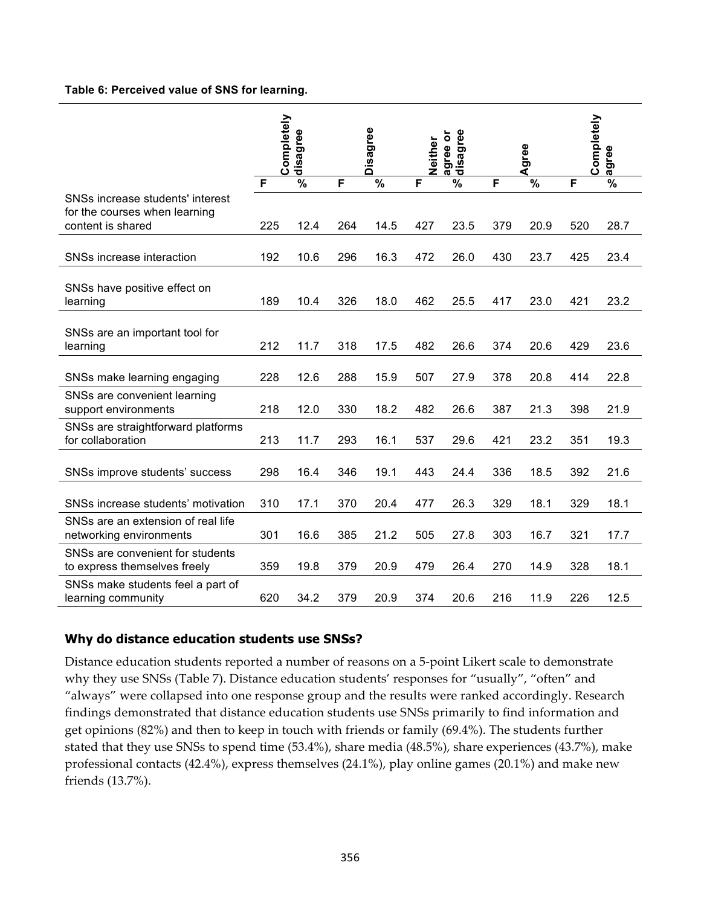#### **Table 6: Perceived value of SNS for learning.**

|                                                                                        | Completely<br>disagree |                          | Disagree |                          | agree<br>ŏ<br>Neither<br>agree<br>dis |                          | Agree |                          | Completely<br>agree |                          |
|----------------------------------------------------------------------------------------|------------------------|--------------------------|----------|--------------------------|---------------------------------------|--------------------------|-------|--------------------------|---------------------|--------------------------|
|                                                                                        | F                      | $\overline{\frac{9}{6}}$ | F        | $\overline{\frac{9}{6}}$ | F                                     | $\overline{\frac{9}{6}}$ | F     | $\overline{\frac{9}{6}}$ | F                   | $\overline{\frac{9}{6}}$ |
| SNSs increase students' interest<br>for the courses when learning<br>content is shared | 225                    | 12.4                     | 264      | 14.5                     | 427                                   | 23.5                     | 379   | 20.9                     | 520                 | 28.7                     |
| SNSs increase interaction                                                              | 192                    | 10.6                     | 296      | 16.3                     | 472                                   | 26.0                     | 430   | 23.7                     | 425                 | 23.4                     |
| SNSs have positive effect on<br>learning                                               | 189                    | 10.4                     | 326      | 18.0                     | 462                                   | 25.5                     | 417   | 23.0                     | 421                 | 23.2                     |
|                                                                                        |                        |                          |          |                          |                                       |                          |       |                          |                     |                          |
| SNSs are an important tool for<br>learning                                             | 212                    | 11.7                     | 318      | 17.5                     | 482                                   | 26.6                     | 374   | 20.6                     | 429                 | 23.6                     |
| SNSs make learning engaging                                                            | 228                    | 12.6                     | 288      | 15.9                     | 507                                   | 27.9                     | 378   | 20.8                     | 414                 | 22.8                     |
| SNSs are convenient learning<br>support environments                                   | 218                    | 12.0                     | 330      | 18.2                     | 482                                   | 26.6                     | 387   | 21.3                     | 398                 | 21.9                     |
| SNSs are straightforward platforms<br>for collaboration                                | 213                    | 11.7                     | 293      | 16.1                     | 537                                   | 29.6                     | 421   | 23.2                     | 351                 | 19.3                     |
| SNSs improve students' success                                                         | 298                    | 16.4                     | 346      | 19.1                     | 443                                   | 24.4                     | 336   | 18.5                     | 392                 | 21.6                     |
| SNSs increase students' motivation                                                     | 310                    | 17.1                     | 370      | 20.4                     | 477                                   | 26.3                     | 329   | 18.1                     | 329                 | 18.1                     |
| SNSs are an extension of real life<br>networking environments                          | 301                    | 16.6                     | 385      | 21.2                     | 505                                   | 27.8                     | 303   | 16.7                     | 321                 | 17.7                     |
| SNSs are convenient for students<br>to express themselves freely                       | 359                    | 19.8                     | 379      | 20.9                     | 479                                   | 26.4                     | 270   | 14.9                     | 328                 | 18.1                     |
| SNSs make students feel a part of<br>learning community                                | 620                    | 34.2                     | 379      | 20.9                     | 374                                   | 20.6                     | 216   | 11.9                     | 226                 | 12.5                     |

### **Why do distance education students use SNSs?**

Distance education students reported a number of reasons on a 5-point Likert scale to demonstrate why they use SNSs (Table 7). Distance education students' responses for "usually", "often" and "always" were collapsed into one response group and the results were ranked accordingly. Research findings demonstrated that distance education students use SNSs primarily to find information and get opinions (82%) and then to keep in touch with friends or family (69.4%). The students further stated that they use SNSs to spend time (53.4%), share media (48.5%), share experiences (43.7%), make professional contacts (42.4%), express themselves (24.1%), play online games (20.1%) and make new friends (13.7%).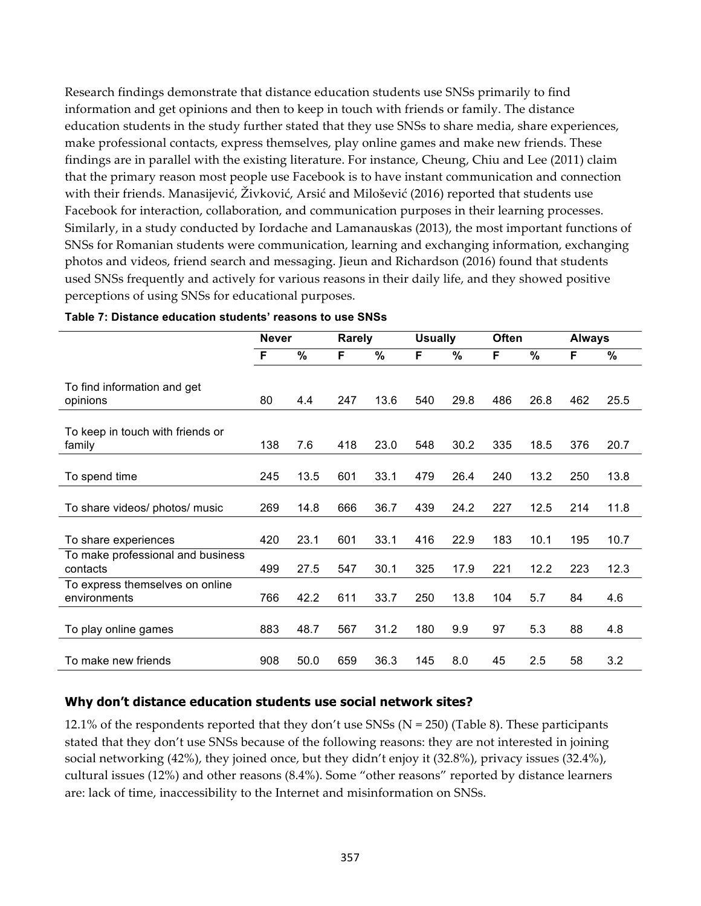Research findings demonstrate that distance education students use SNSs primarily to find information and get opinions and then to keep in touch with friends or family. The distance education students in the study further stated that they use SNSs to share media, share experiences, make professional contacts, express themselves, play online games and make new friends. These findings are in parallel with the existing literature. For instance, Cheung, Chiu and Lee (2011) claim that the primary reason most people use Facebook is to have instant communication and connection with their friends. Manasijević, Živković, Arsić and Milošević (2016) reported that students use Facebook for interaction, collaboration, and communication purposes in their learning processes. Similarly, in a study conducted by Iordache and Lamanauskas (2013), the most important functions of SNSs for Romanian students were communication, learning and exchanging information, exchanging photos and videos, friend search and messaging. Jieun and Richardson (2016) found that students used SNSs frequently and actively for various reasons in their daily life, and they showed positive perceptions of using SNSs for educational purposes.

|                                                 | <b>Never</b> |      | <b>Rarely</b><br><b>Usually</b> |      |     | <b>Often</b> |     | <b>Always</b> |     |      |
|-------------------------------------------------|--------------|------|---------------------------------|------|-----|--------------|-----|---------------|-----|------|
|                                                 | F            | $\%$ | F                               | $\%$ | F   | %            | F   | %             | F   | $\%$ |
| To find information and get<br>opinions         | 80           | 4.4  | 247                             | 13.6 | 540 | 29.8         | 486 | 26.8          | 462 | 25.5 |
| To keep in touch with friends or<br>family      | 138          | 7.6  | 418                             | 23.0 | 548 | 30.2         | 335 | 18.5          | 376 | 20.7 |
| To spend time                                   | 245          | 13.5 | 601                             | 33.1 | 479 | 26.4         | 240 | 13.2          | 250 | 13.8 |
| To share videos/ photos/ music                  | 269          | 14.8 | 666                             | 36.7 | 439 | 24.2         | 227 | 12.5          | 214 | 11.8 |
| To share experiences                            | 420          | 23.1 | 601                             | 33.1 | 416 | 22.9         | 183 | 10.1          | 195 | 10.7 |
| To make professional and business<br>contacts   | 499          | 27.5 | 547                             | 30.1 | 325 | 17.9         | 221 | 12.2          | 223 | 12.3 |
| To express themselves on online<br>environments | 766          | 42.2 | 611                             | 33.7 | 250 | 13.8         | 104 | 5.7           | 84  | 4.6  |
| To play online games                            | 883          | 48.7 | 567                             | 31.2 | 180 | 9.9          | 97  | 5.3           | 88  | 4.8  |
| To make new friends                             | 908          | 50.0 | 659                             | 36.3 | 145 | 8.0          | 45  | 2.5           | 58  | 3.2  |

#### **Table 7: Distance education students' reasons to use SNSs**

### **Why don't distance education students use social network sites?**

12.1% of the respondents reported that they don't use SNSs ( $N = 250$ ) (Table 8). These participants stated that they don't use SNSs because of the following reasons: they are not interested in joining social networking (42%), they joined once, but they didn't enjoy it (32.8%), privacy issues (32.4%), cultural issues (12%) and other reasons (8.4%). Some "other reasons" reported by distance learners are: lack of time, inaccessibility to the Internet and misinformation on SNSs.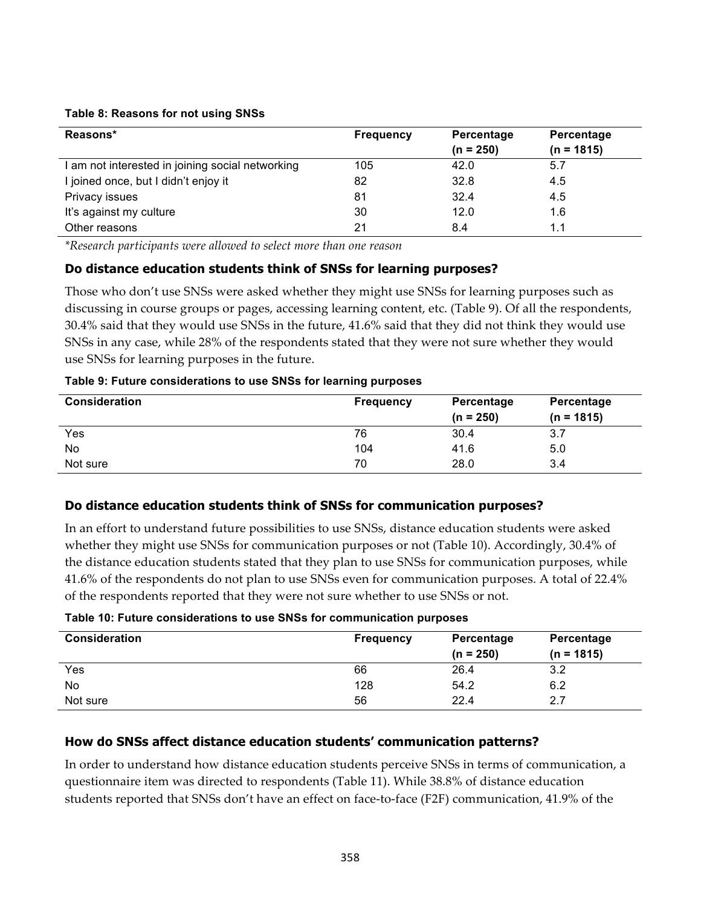### **Table 8: Reasons for not using SNSs**

| Reasons*                                         | <b>Frequency</b> | Percentage<br>$(n = 250)$ | Percentage<br>$(n = 1815)$ |
|--------------------------------------------------|------------------|---------------------------|----------------------------|
| I am not interested in joining social networking | 105              | 42.0                      | 5.7                        |
| I joined once, but I didn't enjoy it             | 82               | 32.8                      | 4.5                        |
| Privacy issues                                   | 81               | 32.4                      | 4.5                        |
| It's against my culture                          | 30               | 12.0                      | 1.6                        |
| Other reasons                                    | 21               | 8.4                       | 1.1                        |

*\*Research participants were allowed to select more than one reason*

### **Do distance education students think of SNSs for learning purposes?**

Those who don't use SNSs were asked whether they might use SNSs for learning purposes such as discussing in course groups or pages, accessing learning content, etc. (Table 9). Of all the respondents, 30.4% said that they would use SNSs in the future, 41.6% said that they did not think they would use SNSs in any case, while 28% of the respondents stated that they were not sure whether they would use SNSs for learning purposes in the future.

### **Table 9: Future considerations to use SNSs for learning purposes**

| <b>Consideration</b> | <b>Frequency</b> | Percentage  | Percentage   |
|----------------------|------------------|-------------|--------------|
|                      |                  | $(n = 250)$ | $(n = 1815)$ |
| Yes                  | 76               | 30.4        | 3.7          |
| No                   | 104              | 41.6        | 5.0          |
| Not sure             | 70               | 28.0        | 3.4          |

### **Do distance education students think of SNSs for communication purposes?**

In an effort to understand future possibilities to use SNSs, distance education students were asked whether they might use SNSs for communication purposes or not (Table 10). Accordingly, 30.4% of the distance education students stated that they plan to use SNSs for communication purposes, while 41.6% of the respondents do not plan to use SNSs even for communication purposes. A total of 22.4% of the respondents reported that they were not sure whether to use SNSs or not.

### **Table 10: Future considerations to use SNSs for communication purposes**

| <b>Consideration</b> | <b>Frequency</b> | Percentage<br>$(n = 250)$ | Percentage<br>$(n = 1815)$ |
|----------------------|------------------|---------------------------|----------------------------|
| Yes                  | 66               | 26.4                      | 3.2                        |
| No                   | 128              | 54.2                      | 6.2                        |
| Not sure             | 56               | 22.4                      | 2.7                        |

## **How do SNSs affect distance education students' communication patterns?**

In order to understand how distance education students perceive SNSs in terms of communication, a questionnaire item was directed to respondents (Table 11). While 38.8% of distance education students reported that SNSs don't have an effect on face-to-face (F2F) communication, 41.9% of the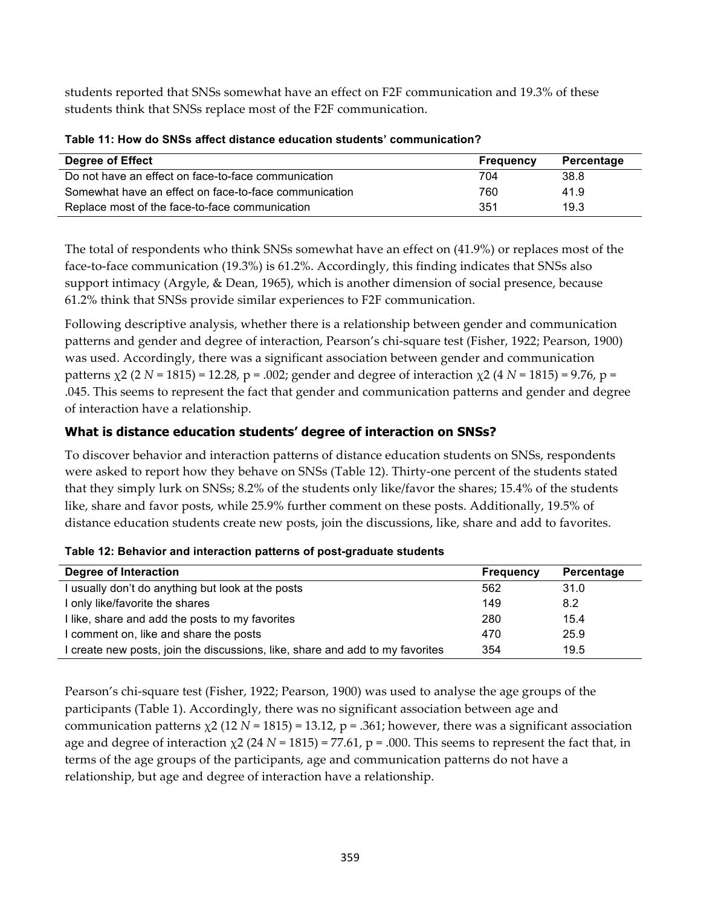students reported that SNSs somewhat have an effect on F2F communication and 19.3% of these students think that SNSs replace most of the F2F communication.

| <b>Degree of Effect</b>                               | <b>Frequency</b> | Percentage |
|-------------------------------------------------------|------------------|------------|
| Do not have an effect on face-to-face communication   | 704              | 38.8       |
| Somewhat have an effect on face-to-face communication | 760              | 41.9       |
| Replace most of the face-to-face communication        | 351              | 19.3       |

|  |  |  | Table 11: How do SNSs affect distance education students' communication? |
|--|--|--|--------------------------------------------------------------------------|
|  |  |  |                                                                          |

The total of respondents who think SNSs somewhat have an effect on (41.9%) or replaces most of the face-to-face communication (19.3%) is 61.2%. Accordingly, this finding indicates that SNSs also support intimacy (Argyle, & Dean, 1965), which is another dimension of social presence, because 61.2% think that SNSs provide similar experiences to F2F communication.

Following descriptive analysis, whether there is a relationship between gender and communication patterns and gender and degree of interaction, Pearson's chi-square test (Fisher, 1922; Pearson, 1900) was used. Accordingly, there was a significant association between gender and communication patterns χ2 (2 *N* = 1815) = 12.28, p = .002; gender and degree of interaction χ2 (4 *N* = 1815) = 9.76, p = .045. This seems to represent the fact that gender and communication patterns and gender and degree of interaction have a relationship.

## **What is distance education students' degree of interaction on SNSs?**

To discover behavior and interaction patterns of distance education students on SNSs, respondents were asked to report how they behave on SNSs (Table 12). Thirty-one percent of the students stated that they simply lurk on SNSs; 8.2% of the students only like/favor the shares; 15.4% of the students like, share and favor posts, while 25.9% further comment on these posts. Additionally, 19.5% of distance education students create new posts, join the discussions, like, share and add to favorites.

| Degree of Interaction                                                         | <b>Frequency</b> | Percentage |
|-------------------------------------------------------------------------------|------------------|------------|
| I usually don't do anything but look at the posts                             | 562              | 31.0       |
| I only like/favorite the shares                                               | 149              | 8.2        |
| I like, share and add the posts to my favorites                               | 280              | 15.4       |
| I comment on, like and share the posts                                        | 470              | 25.9       |
| I create new posts, join the discussions, like, share and add to my favorites | 354              | 19.5       |

|  |  | Table 12: Behavior and interaction patterns of post-graduate students |  |
|--|--|-----------------------------------------------------------------------|--|
|  |  |                                                                       |  |

Pearson's chi-square test (Fisher, 1922; Pearson, 1900) was used to analyse the age groups of the participants (Table 1). Accordingly, there was no significant association between age and communication patterns  $\chi$ 2 (12 *N* = 1815) = 13.12, p = .361; however, there was a significant association age and degree of interaction  $\chi$ 2 (24 *N* = 1815) = 77.61, p = .000. This seems to represent the fact that, in terms of the age groups of the participants, age and communication patterns do not have a relationship, but age and degree of interaction have a relationship.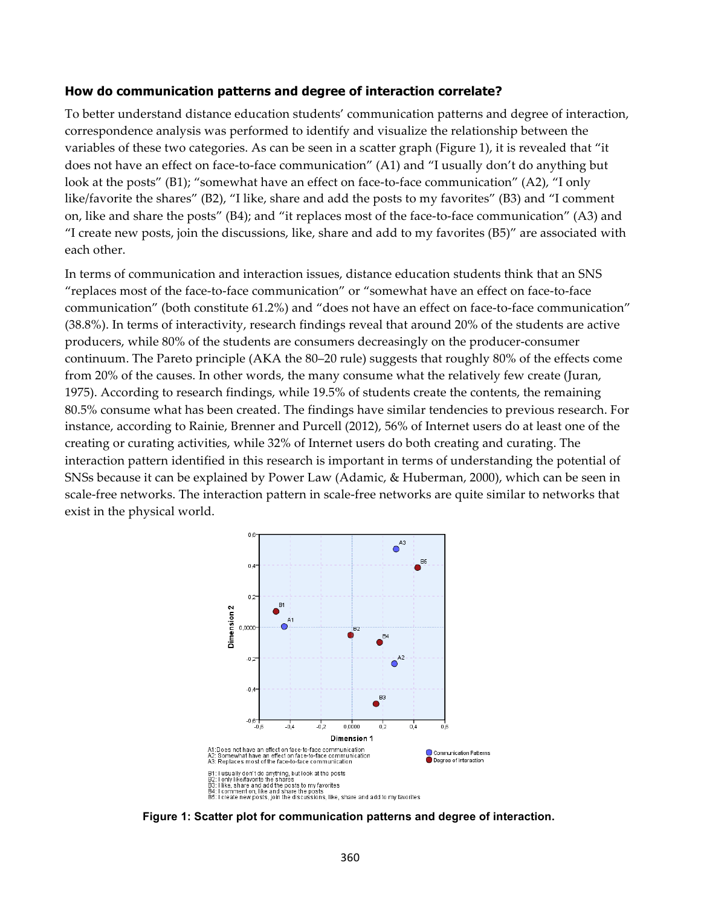#### **How do communication patterns and degree of interaction correlate?**

To better understand distance education students' communication patterns and degree of interaction, correspondence analysis was performed to identify and visualize the relationship between the variables of these two categories. As can be seen in a scatter graph (Figure 1), it is revealed that "it does not have an effect on face-to-face communication" (A1) and "I usually don't do anything but look at the posts" (B1); "somewhat have an effect on face-to-face communication" (A2), "I only like/favorite the shares" (B2), "I like, share and add the posts to my favorites" (B3) and "I comment on, like and share the posts" (B4); and "it replaces most of the face-to-face communication" (A3) and "I create new posts, join the discussions, like, share and add to my favorites (B5)" are associated with each other.

In terms of communication and interaction issues, distance education students think that an SNS "replaces most of the face-to-face communication" or "somewhat have an effect on face-to-face communication" (both constitute 61.2%) and "does not have an effect on face-to-face communication" (38.8%). In terms of interactivity, research findings reveal that around 20% of the students are active producers, while 80% of the students are consumers decreasingly on the producer-consumer continuum. The Pareto principle (AKA the 80–20 rule) suggests that roughly 80% of the effects come from 20% of the causes. In other words, the many consume what the relatively few create (Juran, 1975). According to research findings, while 19.5% of students create the contents, the remaining 80.5% consume what has been created. The findings have similar tendencies to previous research. For instance, according to Rainie, Brenner and Purcell (2012), 56% of Internet users do at least one of the creating or curating activities, while 32% of Internet users do both creating and curating. The interaction pattern identified in this research is important in terms of understanding the potential of SNSs because it can be explained by Power Law (Adamic, & Huberman, 2000), which can be seen in scale-free networks. The interaction pattern in scale-free networks are quite similar to networks that exist in the physical world.



**Figure 1: Scatter plot for communication patterns and degree of interaction.**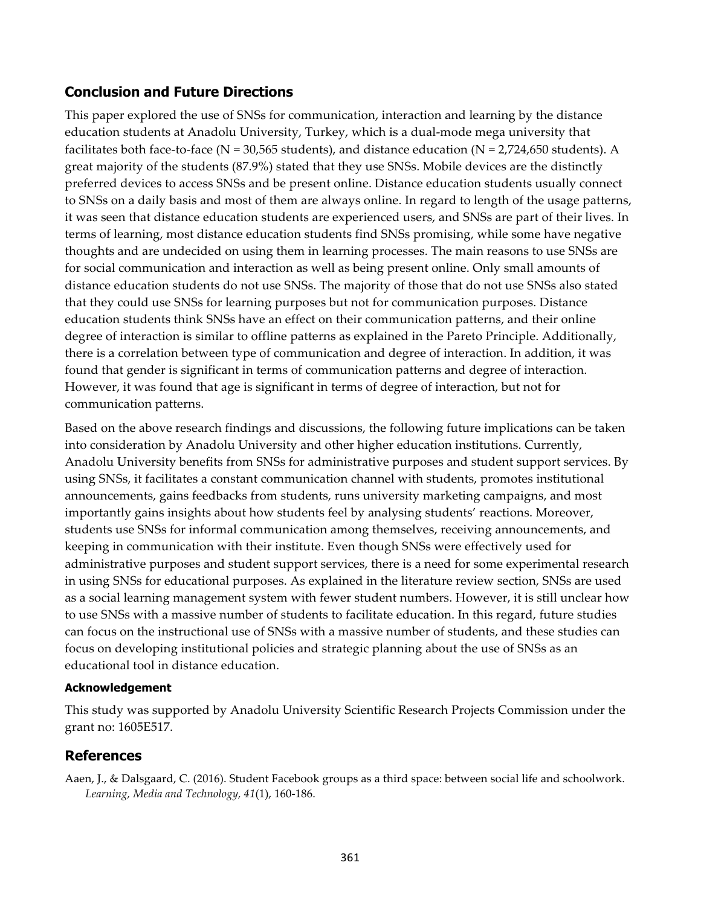# **Conclusion and Future Directions**

This paper explored the use of SNSs for communication, interaction and learning by the distance education students at Anadolu University, Turkey, which is a dual-mode mega university that facilitates both face-to-face (N = 30,565 students), and distance education (N = 2,724,650 students). A great majority of the students (87.9%) stated that they use SNSs. Mobile devices are the distinctly preferred devices to access SNSs and be present online. Distance education students usually connect to SNSs on a daily basis and most of them are always online. In regard to length of the usage patterns, it was seen that distance education students are experienced users, and SNSs are part of their lives. In terms of learning, most distance education students find SNSs promising, while some have negative thoughts and are undecided on using them in learning processes. The main reasons to use SNSs are for social communication and interaction as well as being present online. Only small amounts of distance education students do not use SNSs. The majority of those that do not use SNSs also stated that they could use SNSs for learning purposes but not for communication purposes. Distance education students think SNSs have an effect on their communication patterns, and their online degree of interaction is similar to offline patterns as explained in the Pareto Principle. Additionally, there is a correlation between type of communication and degree of interaction. In addition, it was found that gender is significant in terms of communication patterns and degree of interaction. However, it was found that age is significant in terms of degree of interaction, but not for communication patterns.

Based on the above research findings and discussions, the following future implications can be taken into consideration by Anadolu University and other higher education institutions. Currently, Anadolu University benefits from SNSs for administrative purposes and student support services. By using SNSs, it facilitates a constant communication channel with students, promotes institutional announcements, gains feedbacks from students, runs university marketing campaigns, and most importantly gains insights about how students feel by analysing students' reactions. Moreover, students use SNSs for informal communication among themselves, receiving announcements, and keeping in communication with their institute. Even though SNSs were effectively used for administrative purposes and student support services, there is a need for some experimental research in using SNSs for educational purposes. As explained in the literature review section, SNSs are used as a social learning management system with fewer student numbers. However, it is still unclear how to use SNSs with a massive number of students to facilitate education. In this regard, future studies can focus on the instructional use of SNSs with a massive number of students, and these studies can focus on developing institutional policies and strategic planning about the use of SNSs as an educational tool in distance education.

### **Acknowledgement**

This study was supported by Anadolu University Scientific Research Projects Commission under the grant no: 1605E517.

# **References**

Aaen, J., & Dalsgaard, C. (2016). Student Facebook groups as a third space: between social life and schoolwork. *Learning, Media and Technology, 41*(1), 160-186.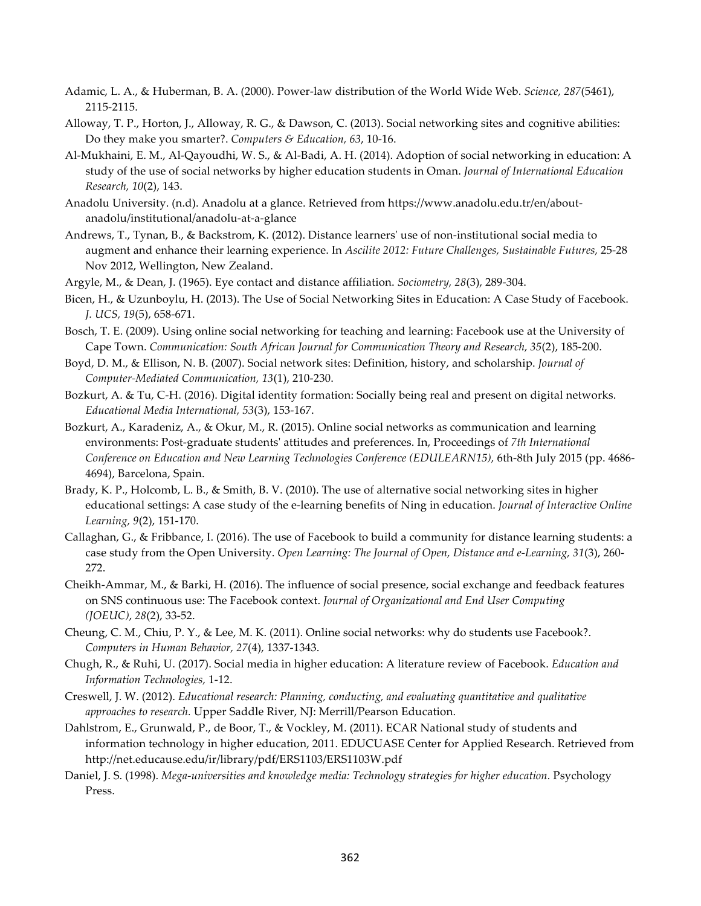- Adamic, L. A., & Huberman, B. A. (2000). Power-law distribution of the World Wide Web. *Science, 287*(5461), 2115-2115.
- Alloway, T. P., Horton, J., Alloway, R. G., & Dawson, C. (2013). Social networking sites and cognitive abilities: Do they make you smarter?. *Computers & Education, 63*, 10-16.
- Al-Mukhaini, E. M., Al-Qayoudhi, W. S., & Al-Badi, A. H. (2014). Adoption of social networking in education: A study of the use of social networks by higher education students in Oman. *Journal of International Education Research, 10*(2), 143.
- Anadolu University. (n.d). Anadolu at a glance. Retrieved from https://www.anadolu.edu.tr/en/aboutanadolu/institutional/anadolu-at-a-glance
- Andrews, T., Tynan, B., & Backstrom, K. (2012). Distance learners' use of non-institutional social media to augment and enhance their learning experience. In *Ascilite 2012: Future Challenges, Sustainable Futures,* 25-28 Nov 2012, Wellington, New Zealand.
- Argyle, M., & Dean, J. (1965). Eye contact and distance affiliation. *Sociometry, 28*(3), 289-304.
- Bicen, H., & Uzunboylu, H. (2013). The Use of Social Networking Sites in Education: A Case Study of Facebook. *J. UCS, 19*(5), 658-671.
- Bosch, T. E. (2009). Using online social networking for teaching and learning: Facebook use at the University of Cape Town. *Communication: South African Journal for Communication Theory and Research, 35*(2), 185-200.
- Boyd, D. M., & Ellison, N. B. (2007). Social network sites: Definition, history, and scholarship. *Journal of Computer-Mediated Communication, 13*(1), 210-230.
- Bozkurt, A. & Tu, C-H. (2016). Digital identity formation: Socially being real and present on digital networks. *Educational Media International, 53*(3), 153-167.
- Bozkurt, A., Karadeniz, A., & Okur, M., R. (2015). Online social networks as communication and learning environments: Post-graduate students' attitudes and preferences. In, Proceedings of *7th International Conference on Education and New Learning Technologies Conference (EDULEARN15),* 6th-8th July 2015 (pp. 4686- 4694), Barcelona, Spain.
- Brady, K. P., Holcomb, L. B., & Smith, B. V. (2010). The use of alternative social networking sites in higher educational settings: A case study of the e-learning benefits of Ning in education. *Journal of Interactive Online Learning, 9*(2), 151-170.
- Callaghan, G., & Fribbance, I. (2016). The use of Facebook to build a community for distance learning students: a case study from the Open University. *Open Learning: The Journal of Open, Distance and e-Learning, 31*(3), 260- 272.
- Cheikh-Ammar, M., & Barki, H. (2016). The influence of social presence, social exchange and feedback features on SNS continuous use: The Facebook context. *Journal of Organizational and End User Computing (JOEUC)*, *28*(2), 33-52.
- Cheung, C. M., Chiu, P. Y., & Lee, M. K. (2011). Online social networks: why do students use Facebook?. *Computers in Human Behavior, 27*(4), 1337-1343.
- Chugh, R., & Ruhi, U. (2017). Social media in higher education: A literature review of Facebook. *Education and Information Technologies,* 1-12.
- Creswell, J. W. (2012). *Educational research: Planning, conducting, and evaluating quantitative and qualitative approaches to research.* Upper Saddle River, NJ: Merrill/Pearson Education.
- Dahlstrom, E., Grunwald, P., de Boor, T., & Vockley, M. (2011). ECAR National study of students and information technology in higher education, 2011. EDUCUASE Center for Applied Research. Retrieved from http://net.educause.edu/ir/library/pdf/ERS1103/ERS1103W.pdf
- Daniel, J. S. (1998). *Mega-universities and knowledge media: Technology strategies for higher education.* Psychology Press.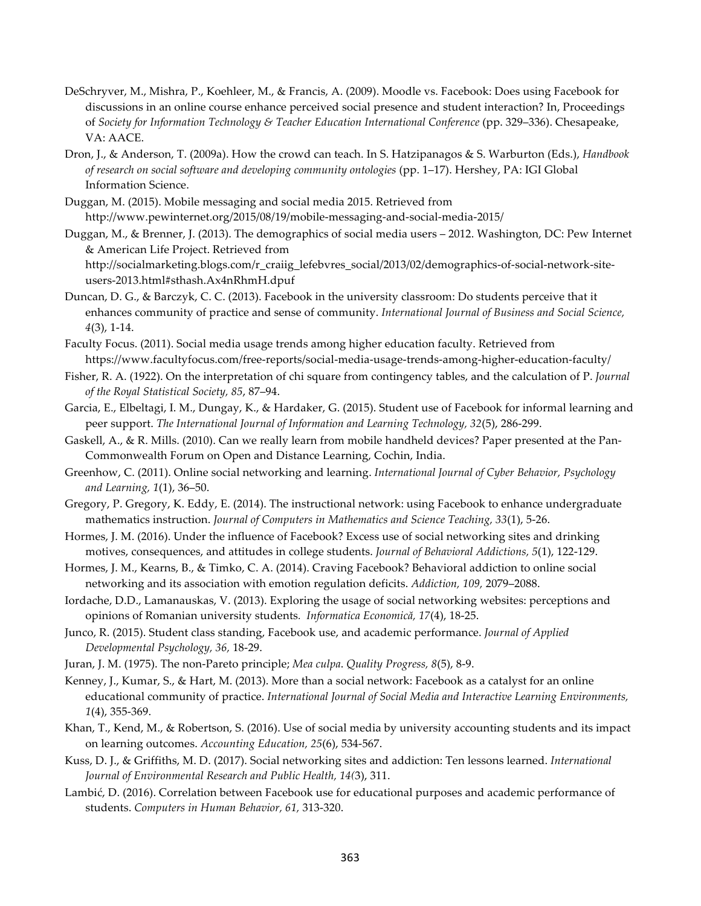- DeSchryver, M., Mishra, P., Koehleer, M., & Francis, A. (2009). Moodle vs. Facebook: Does using Facebook for discussions in an online course enhance perceived social presence and student interaction? In, Proceedings of *Society for Information Technology & Teacher Education International Conference* (pp. 329–336). Chesapeake, VA: AACE.
- Dron, J., & Anderson, T. (2009a). How the crowd can teach. In S. Hatzipanagos & S. Warburton (Eds.), *Handbook of research on social software and developing community ontologies* (pp. 1–17). Hershey, PA: IGI Global Information Science.
- Duggan, M. (2015). Mobile messaging and social media 2015. Retrieved from http://www.pewinternet.org/2015/08/19/mobile-messaging-and-social-media-2015/
- Duggan, M., & Brenner, J. (2013). The demographics of social media users 2012. Washington, DC: Pew Internet & American Life Project. Retrieved from

http://socialmarketing.blogs.com/r\_craiig\_lefebvres\_social/2013/02/demographics-of-social-network-siteusers-2013.html#sthash.Ax4nRhmH.dpuf

- Duncan, D. G., & Barczyk, C. C. (2013). Facebook in the university classroom: Do students perceive that it enhances community of practice and sense of community. *International Journal of Business and Social Science, 4*(3), 1-14.
- Faculty Focus. (2011). Social media usage trends among higher education faculty. Retrieved from https://www.facultyfocus.com/free-reports/social-media-usage-trends-among-higher-education-faculty/
- Fisher, R. A. (1922). On the interpretation of chi square from contingency tables, and the calculation of P. *Journal of the Royal Statistical Society, 85*, 87–94.
- Garcia, E., Elbeltagi, I. M., Dungay, K., & Hardaker, G. (2015). Student use of Facebook for informal learning and peer support. *The International Journal of Information and Learning Technology, 32*(5), 286-299.
- Gaskell, A., & R. Mills. (2010). Can we really learn from mobile handheld devices? Paper presented at the Pan-Commonwealth Forum on Open and Distance Learning, Cochin, India.
- Greenhow, C. (2011). Online social networking and learning. *International Journal of Cyber Behavior, Psychology and Learning, 1*(1), 36–50.
- Gregory, P. Gregory, K. Eddy, E. (2014). The instructional network: using Facebook to enhance undergraduate mathematics instruction. *Journal of Computers in Mathematics and Science Teaching, 33*(1), 5-26.
- Hormes, J. M. (2016). Under the influence of Facebook? Excess use of social networking sites and drinking motives, consequences, and attitudes in college students. *Journal of Behavioral Addictions, 5*(1), 122-129.
- Hormes, J. M., Kearns, B., & Timko, C. A. (2014). Craving Facebook? Behavioral addiction to online social networking and its association with emotion regulation deficits. *Addiction, 109,* 2079–2088.
- Iordache, D.D., Lamanauskas, V. (2013). Exploring the usage of social networking websites: perceptions and opinions of Romanian university students*. Informatica Economică, 17*(4), 18-25.
- Junco, R. (2015). Student class standing, Facebook use, and academic performance. *Journal of Applied Developmental Psychology, 36,* 18-29.
- Juran, J. M. (1975). The non-Pareto principle; *Mea culpa*. *Quality Progress, 8*(5), 8-9.
- Kenney, J., Kumar, S., & Hart, M. (2013). More than a social network: Facebook as a catalyst for an online educational community of practice. *International Journal of Social Media and Interactive Learning Environments, 1*(4), 355-369.
- Khan, T., Kend, M., & Robertson, S. (2016). Use of social media by university accounting students and its impact on learning outcomes. *Accounting Education, 25*(6), 534-567.
- Kuss, D. J., & Griffiths, M. D. (2017). Social networking sites and addiction: Ten lessons learned. *International Journal of Environmental Research and Public Health, 14(*3), 311.
- Lambić, D. (2016). Correlation between Facebook use for educational purposes and academic performance of students. *Computers in Human Behavior, 61,* 313-320.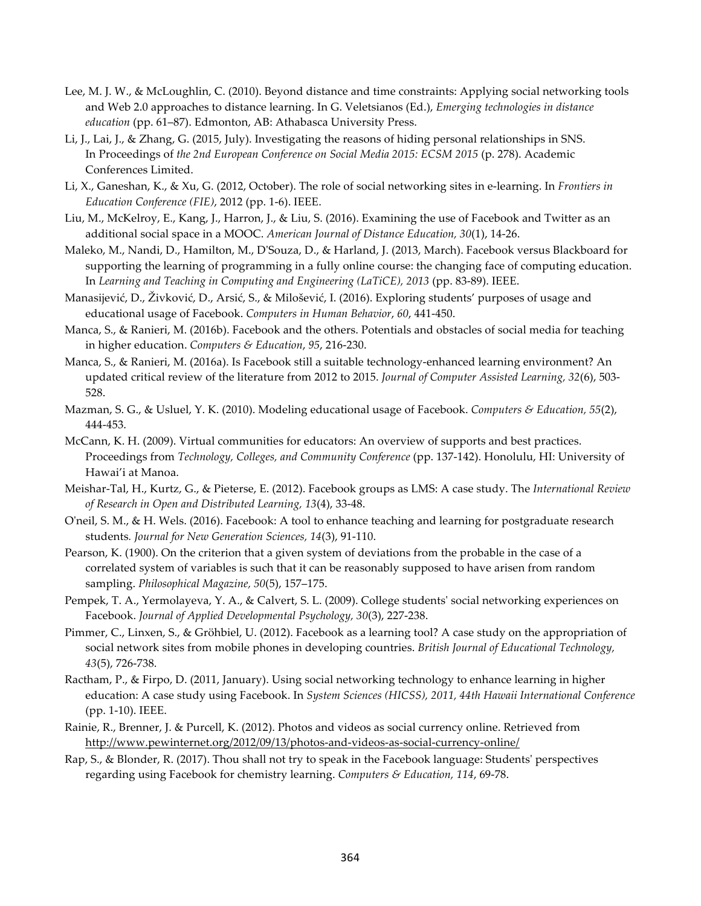- Lee, M. J. W., & McLoughlin, C. (2010). Beyond distance and time constraints: Applying social networking tools and Web 2.0 approaches to distance learning. In G. Veletsianos (Ed.), *Emerging technologies in distance education* (pp. 61–87). Edmonton, AB: Athabasca University Press.
- Li, J., Lai, J., & Zhang, G. (2015, July). Investigating the reasons of hiding personal relationships in SNS. In Proceedings of *the 2nd European Conference on Social Media 2015: ECSM 2015* (p. 278). Academic Conferences Limited.
- Li, X., Ganeshan, K., & Xu, G. (2012, October). The role of social networking sites in e-learning. In *Frontiers in Education Conference (FIE)*, 2012 (pp. 1-6). IEEE.
- Liu, M., McKelroy, E., Kang, J., Harron, J., & Liu, S. (2016). Examining the use of Facebook and Twitter as an additional social space in a MOOC. *American Journal of Distance Education, 30*(1), 14-26.
- Maleko, M., Nandi, D., Hamilton, M., D'Souza, D., & Harland, J. (2013, March). Facebook versus Blackboard for supporting the learning of programming in a fully online course: the changing face of computing education. In *Learning and Teaching in Computing and Engineering (LaTiCE), 2013* (pp. 83-89). IEEE.
- Manasijević, D., Živković, D., Arsić, S., & Milošević, I. (2016). Exploring students' purposes of usage and educational usage of Facebook. *Computers in Human Behavior*, *60*, 441-450.
- Manca, S., & Ranieri, M. (2016b). Facebook and the others. Potentials and obstacles of social media for teaching in higher education. *Computers & Education*, *95*, 216-230.
- Manca, S., & Ranieri, M. (2016a). Is Facebook still a suitable technology-enhanced learning environment? An updated critical review of the literature from 2012 to 2015. *Journal of Computer Assisted Learning, 32*(6), 503- 528.
- Mazman, S. G., & Usluel, Y. K. (2010). Modeling educational usage of Facebook. *Computers & Education, 55*(2), 444-453.
- McCann, K. H. (2009). Virtual communities for educators: An overview of supports and best practices. Proceedings from *Technology, Colleges, and Community Conference* (pp. 137-142). Honolulu, HI: University of Hawai'i at Manoa.
- Meishar-Tal, H., Kurtz, G., & Pieterse, E. (2012). Facebook groups as LMS: A case study. The *International Review of Research in Open and Distributed Learning, 13*(4), 33-48.
- O'neil, S. M., & H. Wels. (2016). Facebook: A tool to enhance teaching and learning for postgraduate research students*. Journal for New Generation Sciences, 14*(3), 91-110.
- Pearson, K. (1900). On the criterion that a given system of deviations from the probable in the case of a correlated system of variables is such that it can be reasonably supposed to have arisen from random sampling. *Philosophical Magazine, 50*(5), 157–175.
- Pempek, T. A., Yermolayeva, Y. A., & Calvert, S. L. (2009). College students' social networking experiences on Facebook. *Journal of Applied Developmental Psychology, 30*(3), 227-238.
- Pimmer, C., Linxen, S., & Gröhbiel, U. (2012). Facebook as a learning tool? A case study on the appropriation of social network sites from mobile phones in developing countries. *British Journal of Educational Technology, 43*(5), 726-738.
- Ractham, P., & Firpo, D. (2011, January). Using social networking technology to enhance learning in higher education: A case study using Facebook. In *System Sciences (HICSS), 2011, 44th Hawaii International Conference* (pp. 1-10). IEEE.
- Rainie, R., Brenner, J. & Purcell, K. (2012). Photos and videos as social currency online. Retrieved from http://www.pewinternet.org/2012/09/13/photos-and-videos-as-social-currency-online/
- Rap, S., & Blonder, R. (2017). Thou shall not try to speak in the Facebook language: Students' perspectives regarding using Facebook for chemistry learning. *Computers & Education, 114*, 69-78.